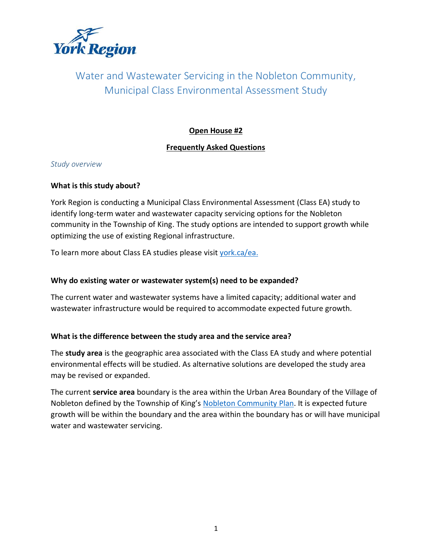

# Water and Wastewater Servicing in the Nobleton Community, Municipal Class Environmental Assessment Study

# **Open House #2**

# **Frequently Asked Questions**

# *Study overview*

## **What is this study about?**

York Region is conducting a Municipal Class Environmental Assessment (Class EA) study to identify long-term water and wastewater capacity servicing options for the Nobleton community in the Township of King. The study options are intended to support growth while optimizing the use of existing Regional infrastructure.

To learn more about Class EA studies please visit [york.ca/ea.](http://www.york.ca/ea)

# **Why do existing water or wastewater system(s) need to be expanded?**

The current water and wastewater systems have a limited capacity; additional water and wastewater infrastructure would be required to accommodate expected future growth.

# **What is the difference between the study area and the service area?**

The **study area** is the geographic area associated with the Class EA study and where potential environmental effects will be studied. As alternative solutions are developed the study area may be revised or expanded.

The current **service area** boundary is the area within the Urban Area Boundary of the Village of Nobleton defined by the Township of King's [Nobleton Community Plan.](http://www.king.ca/Government/Departments/Planning/Official%20Plan%20Documents/Nobleton%20Community%20Plan/Pages/default.aspx) It is expected future growth will be within the boundary and the area within the boundary has or will have municipal water and wastewater servicing.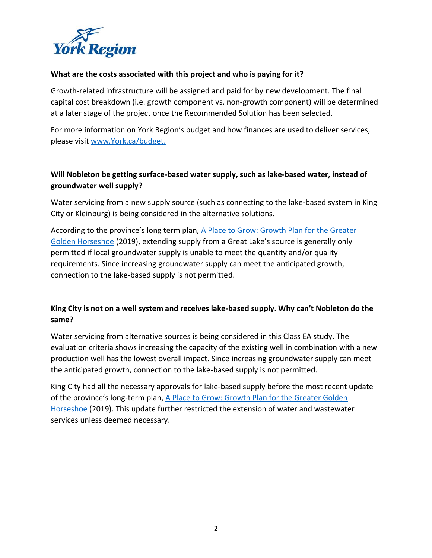

#### **What are the costs associated with this project and who is paying for it?**

Growth-related infrastructure will be assigned and paid for by new development. The final capital cost breakdown (i.e. growth component vs. non-growth component) will be determined at a later stage of the project once the Recommended Solution has been selected.

For more information on York Region's budget and how finances are used to deliver services, please visi[t www.York.ca/budget.](http://www.york.ca/budget)

# **Will Nobleton be getting surface-based water supply, such as lake-based water, instead of groundwater well supply?**

Water servicing from a new supply source (such as connecting to the lake-based system in King City or Kleinburg) is being considered in the alternative solutions.

According to the province's long term plan, [A Place to Grow: Growth Plan for the Greater](https://www.ontario.ca/document/place-grow-growth-plan-greater-golden-horseshoe#:~:text=A%20Place%20to%20Grow%20is,a%20high%20quality%20of%20life.)  [Golden Horseshoe](https://www.ontario.ca/document/place-grow-growth-plan-greater-golden-horseshoe#:~:text=A%20Place%20to%20Grow%20is,a%20high%20quality%20of%20life.) (2019), extending supply from a Great Lake's source is generally only permitted if local groundwater supply is unable to meet the quantity and/or quality requirements. Since increasing groundwater supply can meet the anticipated growth, connection to the lake-based supply is not permitted.

# **King City is not on a well system and receives lake-based supply. Why can't Nobleton do the same?**

Water servicing from alternative sources is being considered in this Class EA study. The evaluation criteria shows increasing the capacity of the existing well in combination with a new production well has the lowest overall impact. Since increasing groundwater supply can meet the anticipated growth, connection to the lake-based supply is not permitted.

King City had all the necessary approvals for lake-based supply before the most recent update of the province's long-term plan, [A Place to Grow: Growth Plan for the Greater Golden](https://www.ontario.ca/document/place-grow-growth-plan-greater-golden-horseshoe#:~:text=A%20Place%20to%20Grow%20is,a%20high%20quality%20of%20life.)  [Horseshoe](https://www.ontario.ca/document/place-grow-growth-plan-greater-golden-horseshoe#:~:text=A%20Place%20to%20Grow%20is,a%20high%20quality%20of%20life.) (2019). This update further restricted the extension of water and wastewater services unless deemed necessary.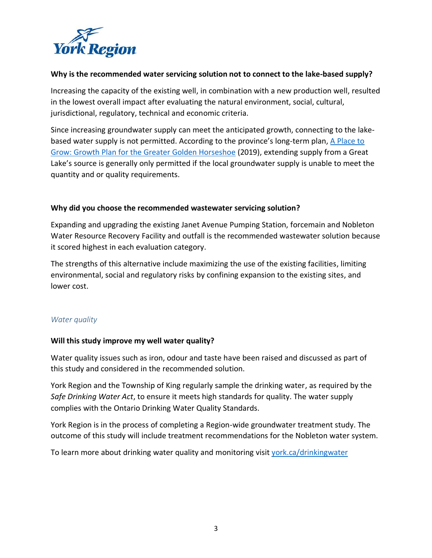

#### **Why is the recommended water servicing solution not to connect to the lake-based supply?**

Increasing the capacity of the existing well, in combination with a new production well, resulted in the lowest overall impact after evaluating the natural environment, social, cultural, jurisdictional, regulatory, technical and economic criteria.

Since increasing groundwater supply can meet the anticipated growth, connecting to the lakebased water supply is not permitted. According to the province's long-term plan, A Place to [Grow: Growth Plan for the Greater Golden Horseshoe](https://www.ontario.ca/document/place-grow-growth-plan-greater-golden-horseshoe#:~:text=A%20Place%20to%20Grow%20is,a%20high%20quality%20of%20life.) (2019), extending supply from a Great Lake's source is generally only permitted if the local groundwater supply is unable to meet the quantity and or quality requirements.

#### **Why did you choose the recommended wastewater servicing solution?**

Expanding and upgrading the existing Janet Avenue Pumping Station, forcemain and Nobleton Water Resource Recovery Facility and outfall is the recommended wastewater solution because it scored highest in each evaluation category.

The strengths of this alternative include maximizing the use of the existing facilities, limiting environmental, social and regulatory risks by confining expansion to the existing sites, and lower cost.

#### *Water quality*

#### **Will this study improve my well water quality?**

Water quality issues such as iron, odour and taste have been raised and discussed as part of this study and considered in the recommended solution.

York Region and the Township of King regularly sample the drinking water, as required by the *Safe Drinking Water Act*, to ensure it meets high standards for quality. The water supply complies with the Ontario Drinking Water Quality Standards.

York Region is in the process of completing a Region-wide groundwater treatment study. The outcome of this study will include treatment recommendations for the Nobleton water system.

To learn more about drinking water quality and monitoring visit york.ca/drinkingwater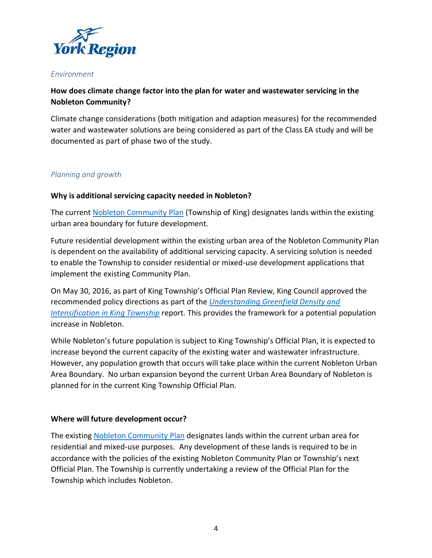

#### *Environment*

# **How does climate change factor into the plan for water and wastewater servicing in the Nobleton Community?**

Climate change considerations (both mitigation and adaption measures) for the recommended water and wastewater solutions are being considered as part of the Class EA study and will be documented as part of phase two of the study.

# *Planning and growth*

## **Why is additional servicing capacity needed in Nobleton?**

The current [Nobleton Community Plan](http://www.king.ca/Government/Departments/Planning/Official%20Plan%20Documents/Nobleton%20Community%20Plan/Pages/default.aspx) (Township of King) designates lands within the existing urban area boundary for future development.

Future residential development within the existing urban area of the Nobleton Community Plan is dependent on the availability of additional servicing capacity. A servicing solution is needed to enable the Township to consider residential or mixed-use development applications that implement the existing Community Plan.

On May 30, 2016, as part of King Township's Official Plan Review, King Council approved the recommended policy directions as part of the *[Understanding Greenfield Density and](http://www.king.ca/Government/Departments/Planning/Documents/Density%20Report%20on%20Website%20%28presented%20May%2016%202016%29.pdf)  [Intensification in King Township](http://www.king.ca/Government/Departments/Planning/Documents/Density%20Report%20on%20Website%20%28presented%20May%2016%202016%29.pdf)* report. This provides the framework for a potential population increase in Nobleton.

While Nobleton's future population is subject to King Township's Official Plan, it is expected to increase beyond the current capacity of the existing water and wastewater infrastructure. However, any population growth that occurs will take place within the current Nobleton Urban Area Boundary. No urban expansion beyond the current Urban Area Boundary of Nobleton is planned for in the current King Township Official Plan.

#### **Where will future development occur?**

The existing [Nobleton Community Plan](http://www.king.ca/Government/Departments/Planning/Official%20Plan%20Documents/Nobleton%20Community%20Plan/Pages/default.aspx) designates lands within the current urban area for residential and mixed-use purposes. Any development of these lands is required to be in accordance with the policies of the existing Nobleton Community Plan or Township's next Official Plan. The Township is currently undertaking a review of the Official Plan for the Township which includes Nobleton.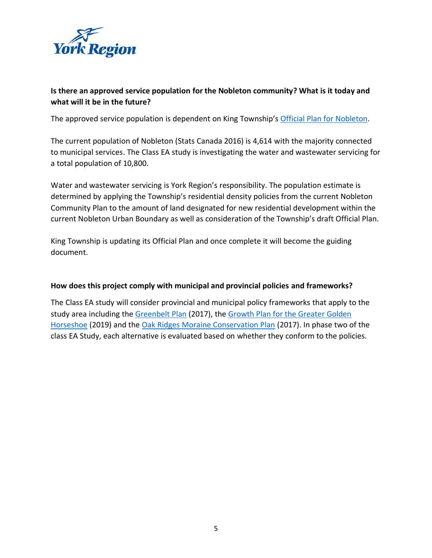

# **Is there an approved service population for the Nobleton community? What is it today and what will it be in the future?**

The approved service population is dependent on King Township's [Official Plan for Nobleton.](http://www.king.ca/Government/Departments/Planning/Official%20Plan%20Review%20Project/Pages/default.aspx)

The current population of Nobleton (Stats Canada 2016) is 4,614 with the majority connected to municipal services. The Class EA study is investigating the water and wastewater servicing for a total population of 10,800.

Water and wastewater servicing is York Region's responsibility. The population estimate is determined by applying the Township's residential density policies from the current Nobleton Community Plan to the amount of land designated for new residential development within the current Nobleton Urban Boundary as well as consideration of the Township's draft Official Plan.

King Township is updating its Official Plan and once complete it will become the guiding document.

#### **How does this project comply with municipal and provincial policies and frameworks?**

The Class EA study will consider provincial and municipal policy frameworks that apply to the study area including the [Greenbelt Plan](https://www.ontario.ca/document/greenbelt-plan-2017) (2017), the [Growth Plan for the Greater Golden](https://www.ontario.ca/document/place-grow-growth-plan-greater-golden-horseshoe#:~:text=A%20Place%20to%20Grow%20is,a%20high%20quality%20of%20life.)  [Horseshoe](https://www.ontario.ca/document/place-grow-growth-plan-greater-golden-horseshoe#:~:text=A%20Place%20to%20Grow%20is,a%20high%20quality%20of%20life.) (2019) and the [Oak Ridges Moraine Conservation Plan](https://www.ontario.ca/page/oak-ridges-moraine-conservation-plan-2017) (2017). In phase two of the class EA Study, each alternative is evaluated based on whether they conform to the policies.